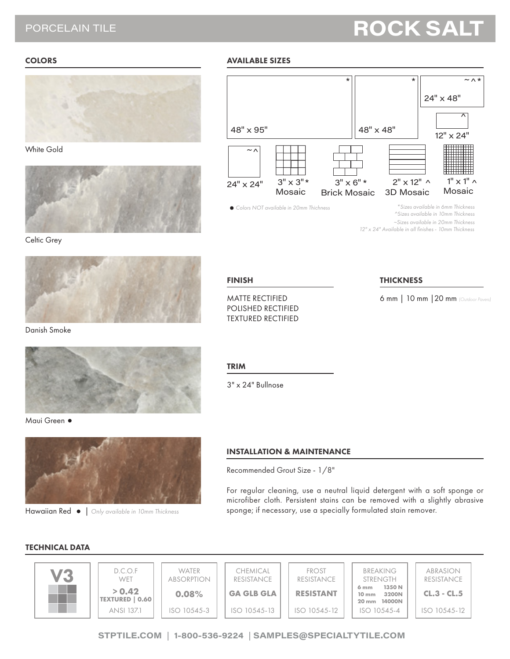## PORCELAIN TILE

# **ROCK SAI**

## **COLORS**



White Gold



Celtic Grey



Danish Smoke



Maui Green ·



Hawaiian Red | *Only available in 10mm Thickness*

#### AVAILABLE SIZES



*~Sizes available in 20mm Thickness*

*12" x 24" Available in all finishes - 10mm Thickness*

## FINISH

MATTE RECTIFIED POLISHED RECTIFIED TEXTURED RECTIFIED

#### THICKNESS

6 mm | 10 mm |20 mm *(Outdoor Pavers)*

TRIM

3" x 24" Bullnose

## INSTALLATION & MAINTENANCE

Recommended Grout Size - 1/8"

For regular cleaning, use a neutral liquid detergent with a soft sponge or microfiber cloth. Persistent stains can be removed with a slightly abrasive sponge; if necessary, use a specially formulated stain remover.

## TECHNICAL DATA